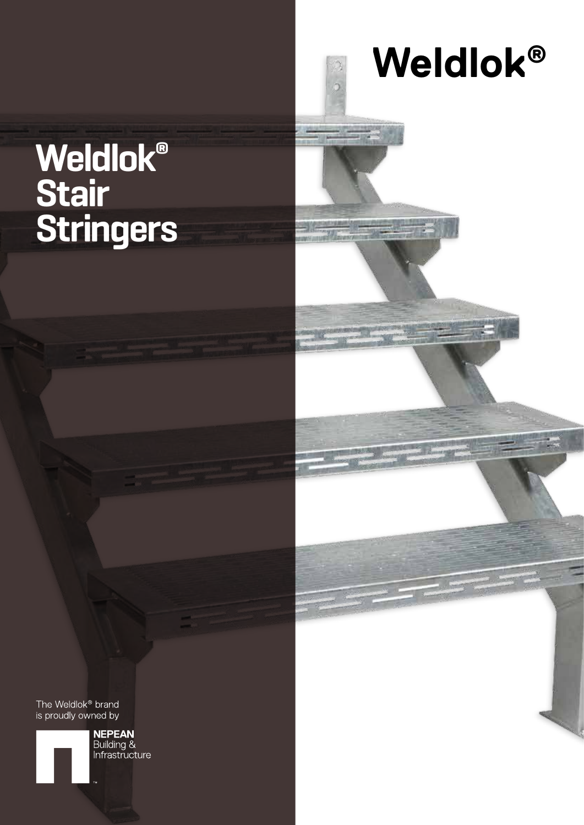# **Weldlok ®**

## **Weldlok® Stair Stringers**



**NEPEAN**<br>Building &<br>Infrastructure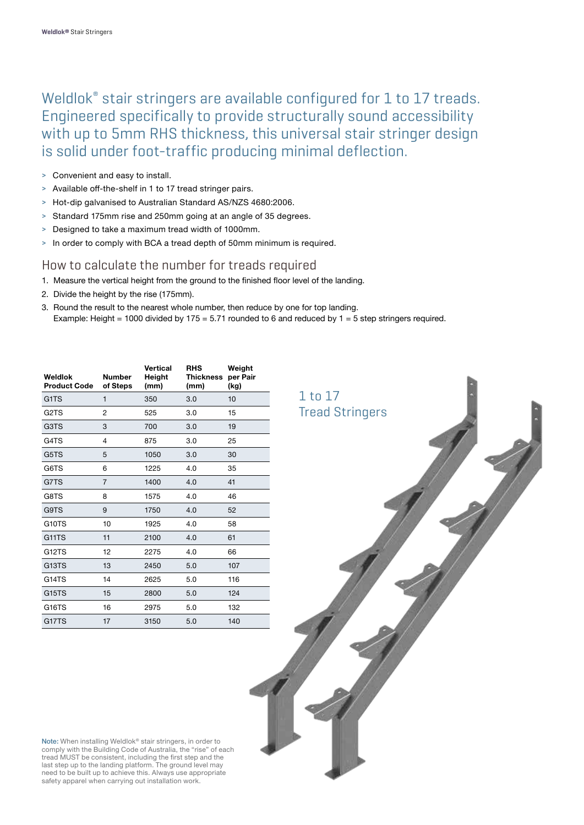Weldlok® stair stringers are available configured for 1 to 17 treads. Engineered specifically to provide structurally sound accessibility with up to 5mm RHS thickness, this universal stair stringer design is solid under foot-traffic producing minimal deflection.

- > Convenient and easy to install.
- > Available off-the-shelf in 1 to 17 tread stringer pairs.
- > Hot-dip galvanised to Australian Standard AS/NZS 4680:2006.
- > Standard 175mm rise and 250mm going at an angle of 35 degrees.
- > Designed to take a maximum tread width of 1000mm.
- > In order to comply with BCA a tread depth of 50mm minimum is required.

#### How to calculate the number for treads required

- 1. Measure the vertical height from the ground to the finished floor level of the landing.
- 2. Divide the height by the rise (175mm).
- 3. Round the result to the nearest whole number, then reduce by one for top landing. Example: Height = 1000 divided by 175 = 5.71 rounded to 6 and reduced by  $1 = 5$  step stringers required.

| Weldlok<br><b>Product Code</b> | <b>Number</b><br>of Steps | Vertical<br>Height<br>(mm) | <b>RHS</b><br><b>Thickness</b><br>(mm) | Weight<br>per Pair<br>(kg) |
|--------------------------------|---------------------------|----------------------------|----------------------------------------|----------------------------|
| G <sub>1</sub> T <sub>S</sub>  | $\mathbf{1}$              | 350                        | 3.0                                    | 10                         |
| G <sub>2</sub> T <sub>S</sub>  | $\overline{2}$            | 525                        | 3.0                                    | 15                         |
| G3TS                           | 3                         | 700                        | 3.0                                    | 19                         |
| G4TS                           | 4                         | 875                        | 3.0                                    | 25                         |
| G5TS                           | 5                         | 1050                       | 3.0                                    | 30                         |
| G6TS                           | 6                         | 1225                       | 4.0                                    | 35                         |
| G7TS                           | 7                         | 1400                       | 4.0                                    | 41                         |
| G8TS                           | 8                         | 1575                       | 4.0                                    | 46                         |
| G9TS                           | 9                         | 1750                       | 4.0                                    | 52                         |
| G10TS                          | 10                        | 1925                       | 4.0                                    | 58                         |
| G11TS                          | 11                        | 2100                       | 4.0                                    | 61                         |
| G12TS                          | 12                        | 2275                       | 4.0                                    | 66                         |
| G <sub>13</sub> T <sub>S</sub> | 13                        | 2450                       | 5.0                                    | 107                        |
| G14TS                          | 14                        | 2625                       | 5.0                                    | 116                        |
| G <sub>15</sub> T <sub>S</sub> | 15                        | 2800                       | 5.0                                    | 124                        |
| G16TS                          | 16                        | 2975                       | 5.0                                    | 132                        |
| G17TS                          | 17                        | 3150                       | 5.0                                    | 140                        |



Note: When installing Weldlok® stair stringers, in order to comply with the Building Code of Australia, the "rise" of each tread MUST be consistent, including the first step and the last step up to the landing platform. The ground level may need to be built up to achieve this. Always use appropriate safety apparel when carrying out installation work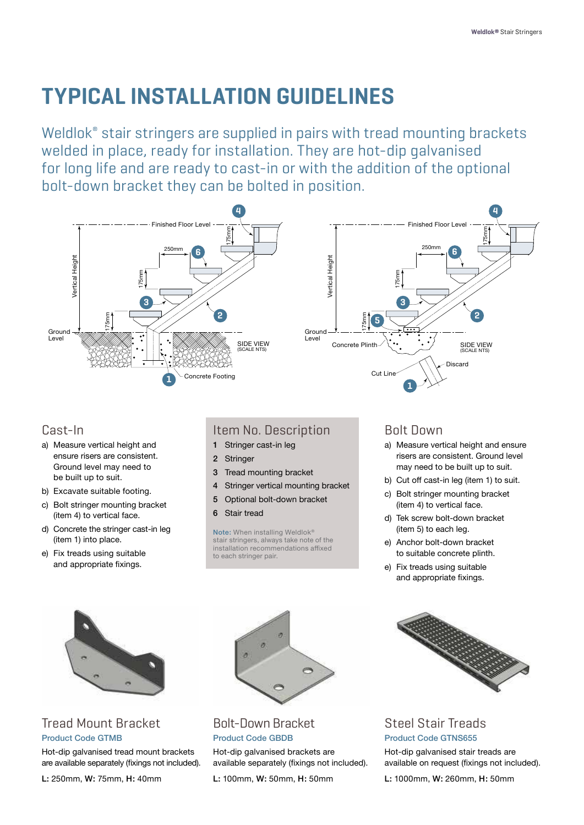### **TYPICAL INSTALLATION GUIDELINES**

Weldlok® stair stringers are supplied in pairs with tread mounting brackets welded in place, ready for installation. They are hot-dip galvanised for long life and are ready to cast-in or with the addition of the optional bolt-down bracket they can be bolted in position.



#### Cast-In

- a) Measure vertical height and ensure risers are consistent. Ground level may need to be built up to suit.
- b) Excavate suitable footing.
- c) Bolt stringer mounting bracket (item 4) to vertical face.
- d) Concrete the stringer cast-in leg (item 1) into place.
- e) Fix treads using suitable and appropriate fixings.

#### Item No. Description

- 1 Stringer cast-in leg
- 2 Stringer
- 3 Tread mounting bracket
- 4 Stringer vertical mounting bracket
- 5 Optional bolt-down bracket
- 6 Stair tread

Note: When installing Weldlok<sup>®</sup> stair stringers, always take note of the installation recommendations affixed to each stringer pair.



- a) Measure vertical height and ensure risers are consistent. Ground level may need to be built up to suit.
- b) Cut off cast-in leg (item 1) to suit.
- c) Bolt stringer mounting bracket (item 4) to vertical face.
- d) Tek screw bolt-down bracket (item 5) to each leg.
- e) Anchor bolt-down bracket to suitable concrete plinth.
- e) Fix treads using suitable and appropriate fixings.



#### Steel Stair Treads Product Code GTNS655

Hot-dip galvanised stair treads are available on request (fixings not included).

L: 1000mm, W: 260mm, H: 50mm



#### Tread Mount Bracket Product Code GTMB

Hot-dip galvanised tread mount brackets are available separately (fixings not included).



#### Bolt-Down Bracket Product Code GBDB

Hot-dip galvanised brackets are available separately (fixings not included).

L: 100mm, W: 50mm, H: 50mm